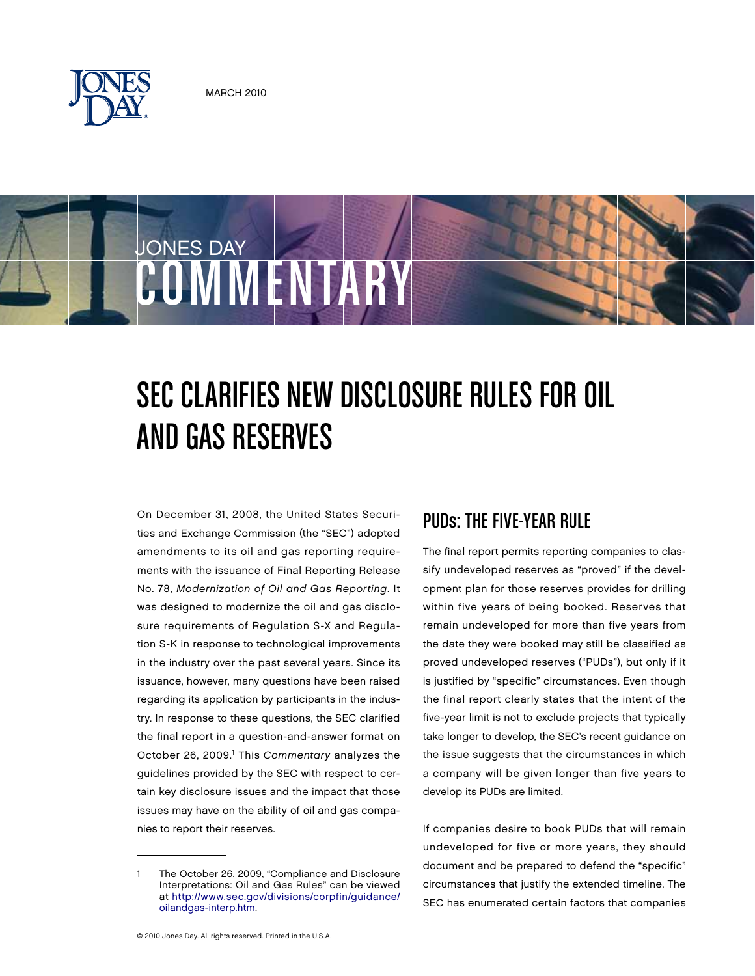

JONES DAY

# COMMENTARY

## SEC CLARIFIES NEW DISCLOSURE RULES FOR OIL and GAS RESERVES

On December 31, 2008, the United States Securities and Exchange Commission (the "SEC") adopted amendments to its oil and gas reporting requirements with the issuance of Final Reporting Release No. 78, Modernization of Oil and Gas Reporting. It was designed to modernize the oil and gas disclosure requirements of Regulation S-X and Regulation S-K in response to technological improvements in the industry over the past several years. Since its issuance, however, many questions have been raised regarding its application by participants in the industry. In response to these questions, the SEC clarified the final report in a question-and-answer format on October 26, 2009.<sup>1</sup> This Commentary analyzes the guidelines provided by the SEC with respect to certain key disclosure issues and the impact that those issues may have on the ability of oil and gas companies to report their reserves.

#### PUDs: The Five-Year Rule

The final report permits reporting companies to classify undeveloped reserves as "proved" if the development plan for those reserves provides for drilling within five years of being booked. Reserves that remain undeveloped for more than five years from the date they were booked may still be classified as proved undeveloped reserves ("PUDs"), but only if it is justified by "specific" circumstances. Even though the final report clearly states that the intent of the five-year limit is not to exclude projects that typically take longer to develop, the SEC's recent guidance on the issue suggests that the circumstances in which a company will be given longer than five years to develop its PUDs are limited.

If companies desire to book PUDs that will remain undeveloped for five or more years, they should document and be prepared to defend the "specific" circumstances that justify the extended timeline. The SEC has enumerated certain factors that companies

<sup>1</sup> The October 26, 2009, "Compliance and Disclosure Interpretations: Oil and Gas Rules" can be viewed at [http://www.sec.gov/divisions/corpfin/guidance/](http://www.sec.gov/divisions/corpfin/guidance/oilandgas-interp.htm) [oilandgas-interp.htm.](http://www.sec.gov/divisions/corpfin/guidance/oilandgas-interp.htm)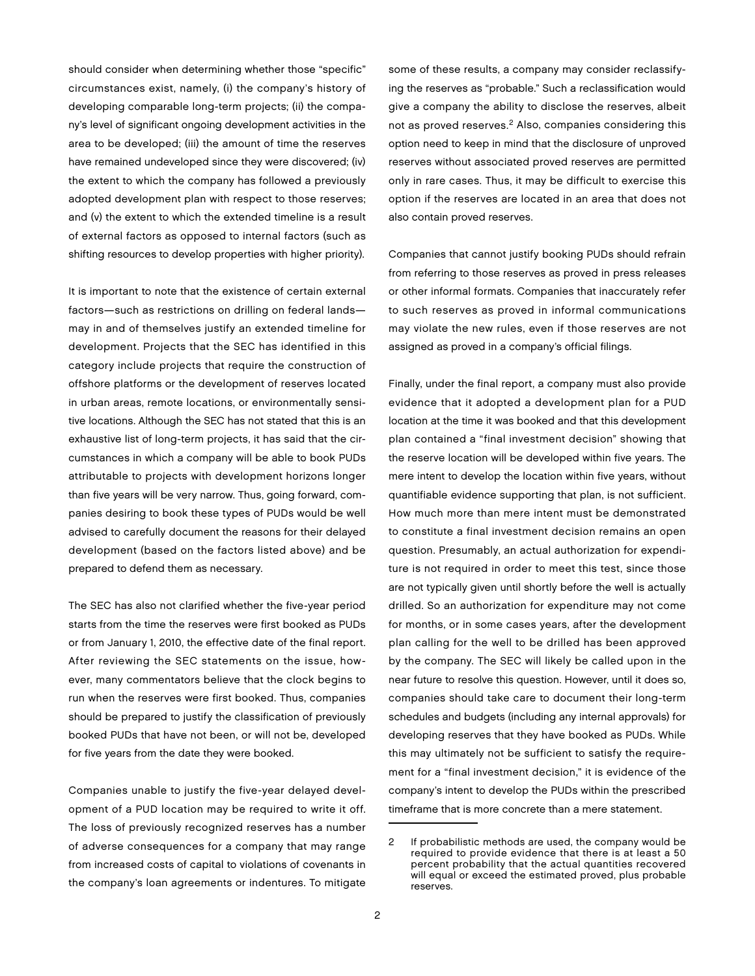should consider when determining whether those "specific" circumstances exist, namely, (i) the company's history of developing comparable long-term projects; (ii) the company's level of significant ongoing development activities in the area to be developed; (iii) the amount of time the reserves have remained undeveloped since they were discovered; (iv) the extent to which the company has followed a previously adopted development plan with respect to those reserves; and (v) the extent to which the extended timeline is a result of external factors as opposed to internal factors (such as shifting resources to develop properties with higher priority).

It is important to note that the existence of certain external factors—such as restrictions on drilling on federal lands may in and of themselves justify an extended timeline for development. Projects that the SEC has identified in this category include projects that require the construction of offshore platforms or the development of reserves located in urban areas, remote locations, or environmentally sensitive locations. Although the SEC has not stated that this is an exhaustive list of long-term projects, it has said that the circumstances in which a company will be able to book PUDs attributable to projects with development horizons longer than five years will be very narrow. Thus, going forward, companies desiring to book these types of PUDs would be well advised to carefully document the reasons for their delayed development (based on the factors listed above) and be prepared to defend them as necessary.

The SEC has also not clarified whether the five-year period starts from the time the reserves were first booked as PUDs or from January 1, 2010, the effective date of the final report. After reviewing the SEC statements on the issue, however, many commentators believe that the clock begins to run when the reserves were first booked. Thus, companies should be prepared to justify the classification of previously booked PUDs that have not been, or will not be, developed for five years from the date they were booked.

Companies unable to justify the five-year delayed development of a PUD location may be required to write it off. The loss of previously recognized reserves has a number of adverse consequences for a company that may range from increased costs of capital to violations of covenants in the company's loan agreements or indentures. To mitigate

some of these results, a company may consider reclassifying the reserves as "probable." Such a reclassification would give a company the ability to disclose the reserves, albeit not as proved reserves.<sup>2</sup> Also, companies considering this option need to keep in mind that the disclosure of unproved reserves without associated proved reserves are permitted only in rare cases. Thus, it may be difficult to exercise this option if the reserves are located in an area that does not also contain proved reserves.

Companies that cannot justify booking PUDs should refrain from referring to those reserves as proved in press releases or other informal formats. Companies that inaccurately refer to such reserves as proved in informal communications may violate the new rules, even if those reserves are not assigned as proved in a company's official filings.

Finally, under the final report, a company must also provide evidence that it adopted a development plan for a PUD location at the time it was booked and that this development plan contained a "final investment decision" showing that the reserve location will be developed within five years. The mere intent to develop the location within five years, without quantifiable evidence supporting that plan, is not sufficient. How much more than mere intent must be demonstrated to constitute a final investment decision remains an open question. Presumably, an actual authorization for expenditure is not required in order to meet this test, since those are not typically given until shortly before the well is actually drilled. So an authorization for expenditure may not come for months, or in some cases years, after the development plan calling for the well to be drilled has been approved by the company. The SEC will likely be called upon in the near future to resolve this question. However, until it does so, companies should take care to document their long-term schedules and budgets (including any internal approvals) for developing reserves that they have booked as PUDs. While this may ultimately not be sufficient to satisfy the requirement for a "final investment decision," it is evidence of the company's intent to develop the PUDs within the prescribed timeframe that is more concrete than a mere statement.

<sup>2</sup> If probabilistic methods are used, the company would be required to provide evidence that there is at least a 50 percent probability that the actual quantities recovered will equal or exceed the estimated proved, plus probable reserves.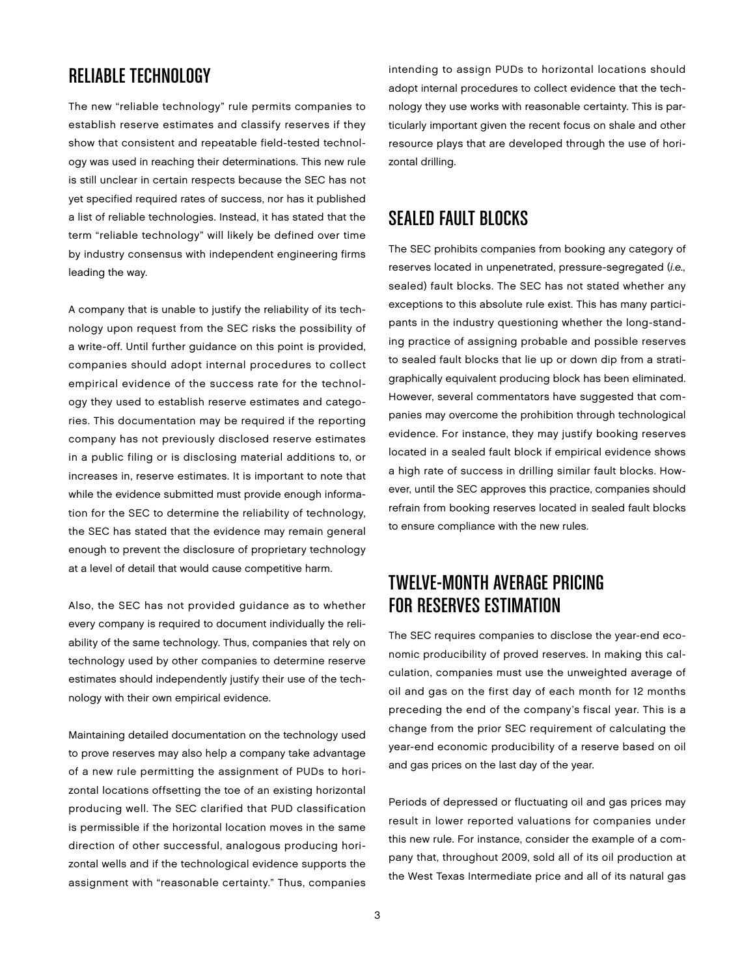#### Reliable Technology

The new "reliable technology" rule permits companies to establish reserve estimates and classify reserves if they show that consistent and repeatable field-tested technology was used in reaching their determinations. This new rule is still unclear in certain respects because the SEC has not yet specified required rates of success, nor has it published a list of reliable technologies. Instead, it has stated that the term "reliable technology" will likely be defined over time by industry consensus with independent engineering firms leading the way.

A company that is unable to justify the reliability of its technology upon request from the SEC risks the possibility of a write-off. Until further guidance on this point is provided, companies should adopt internal procedures to collect empirical evidence of the success rate for the technology they used to establish reserve estimates and categories. This documentation may be required if the reporting company has not previously disclosed reserve estimates in a public filing or is disclosing material additions to, or increases in, reserve estimates. It is important to note that while the evidence submitted must provide enough information for the SEC to determine the reliability of technology, the SEC has stated that the evidence may remain general enough to prevent the disclosure of proprietary technology at a level of detail that would cause competitive harm.

Also, the SEC has not provided guidance as to whether every company is required to document individually the reliability of the same technology. Thus, companies that rely on technology used by other companies to determine reserve estimates should independently justify their use of the technology with their own empirical evidence.

Maintaining detailed documentation on the technology used to prove reserves may also help a company take advantage of a new rule permitting the assignment of PUDs to horizontal locations offsetting the toe of an existing horizontal producing well. The SEC clarified that PUD classification is permissible if the horizontal location moves in the same direction of other successful, analogous producing horizontal wells and if the technological evidence supports the assignment with "reasonable certainty." Thus, companies

intending to assign PUDs to horizontal locations should adopt internal procedures to collect evidence that the technology they use works with reasonable certainty. This is particularly important given the recent focus on shale and other resource plays that are developed through the use of horizontal drilling.

#### Sealed Fault Blocks

The SEC prohibits companies from booking any category of reserves located in unpenetrated, pressure-segregated (i.e., sealed) fault blocks. The SEC has not stated whether any exceptions to this absolute rule exist. This has many participants in the industry questioning whether the long-standing practice of assigning probable and possible reserves to sealed fault blocks that lie up or down dip from a stratigraphically equivalent producing block has been eliminated. However, several commentators have suggested that companies may overcome the prohibition through technological evidence. For instance, they may justify booking reserves located in a sealed fault block if empirical evidence shows a high rate of success in drilling similar fault blocks. However, until the SEC approves this practice, companies should refrain from booking reserves located in sealed fault blocks to ensure compliance with the new rules.

### Twelve-Month Average Pricing for Reserves Estimation

The SEC requires companies to disclose the year-end economic producibility of proved reserves. In making this calculation, companies must use the unweighted average of oil and gas on the first day of each month for 12 months preceding the end of the company's fiscal year. This is a change from the prior SEC requirement of calculating the year-end economic producibility of a reserve based on oil and gas prices on the last day of the year.

Periods of depressed or fluctuating oil and gas prices may result in lower reported valuations for companies under this new rule. For instance, consider the example of a company that, throughout 2009, sold all of its oil production at the West Texas Intermediate price and all of its natural gas